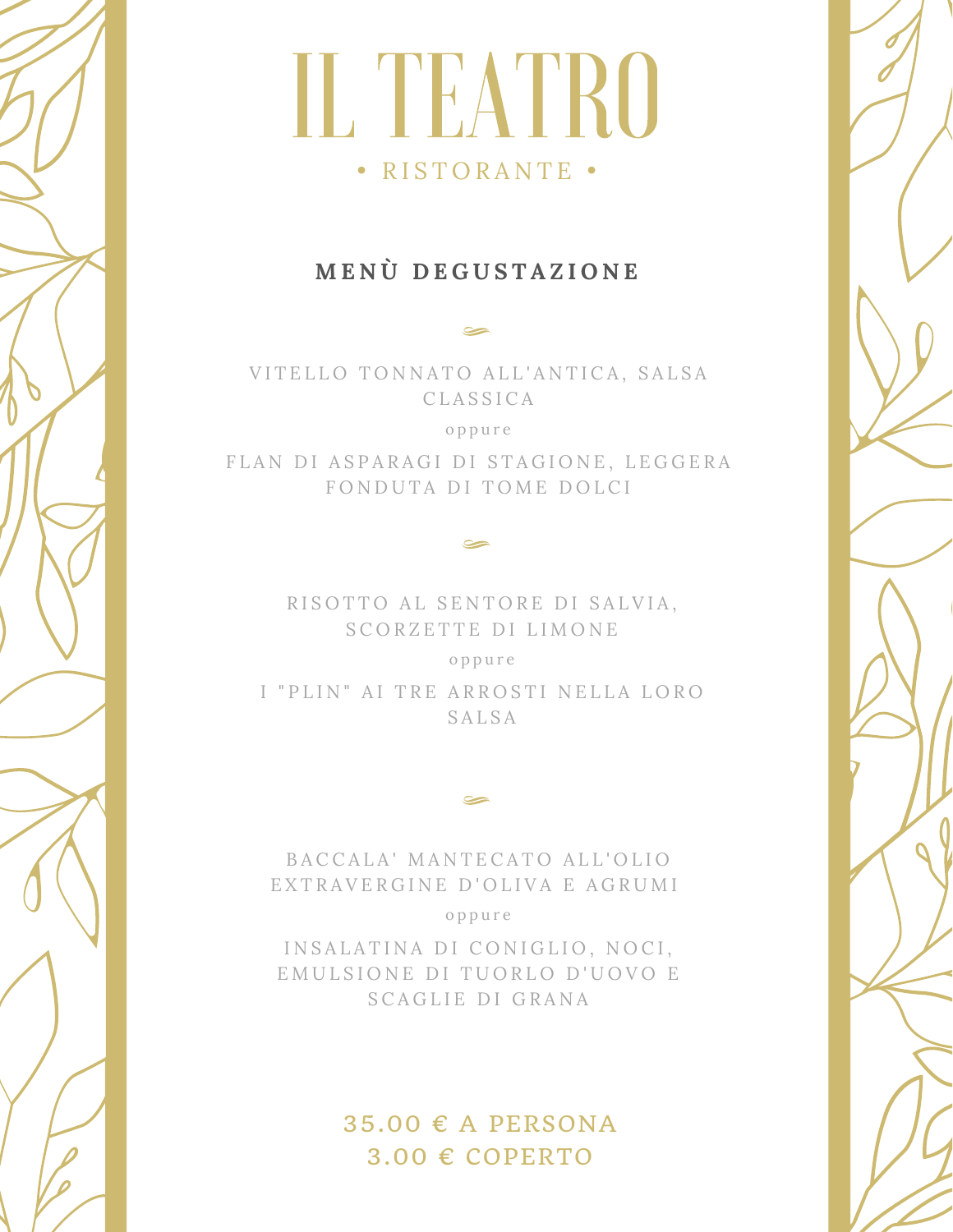### ILTEATRO • RISTORANTE •

#### **M E N Ù D E G U S T A Z I O N E**

VITELLO TONNATO ALL'ANTICA, SALSA C L A S S I C A

o p p u r e

FLAN DI ASPARAGI DI STAGIONE, LEGGERA FONDUTA DI TOME DOLCI

> RISOTTO AL SENTORE DI SALVIA, SCORZETTE DI LIMONE

> > o p p u r e

I "PLIN" AI TRE ARROSTI NELLA LORO **SALSA** 

BACCALA' MANTECATO ALL'OLIO EXTRAVERGINE D'OLIVA E AGRUMI

o p p u r e

INSALATINA DI CONIGLIO, NOCI, EMULSIONE DI TUORLO D'UOVO E S CAGLIE DI GRANA

> $35.00 \text{ } \in$  A PERSONA  $3.00 \text{ } \in \text{COPERTO}$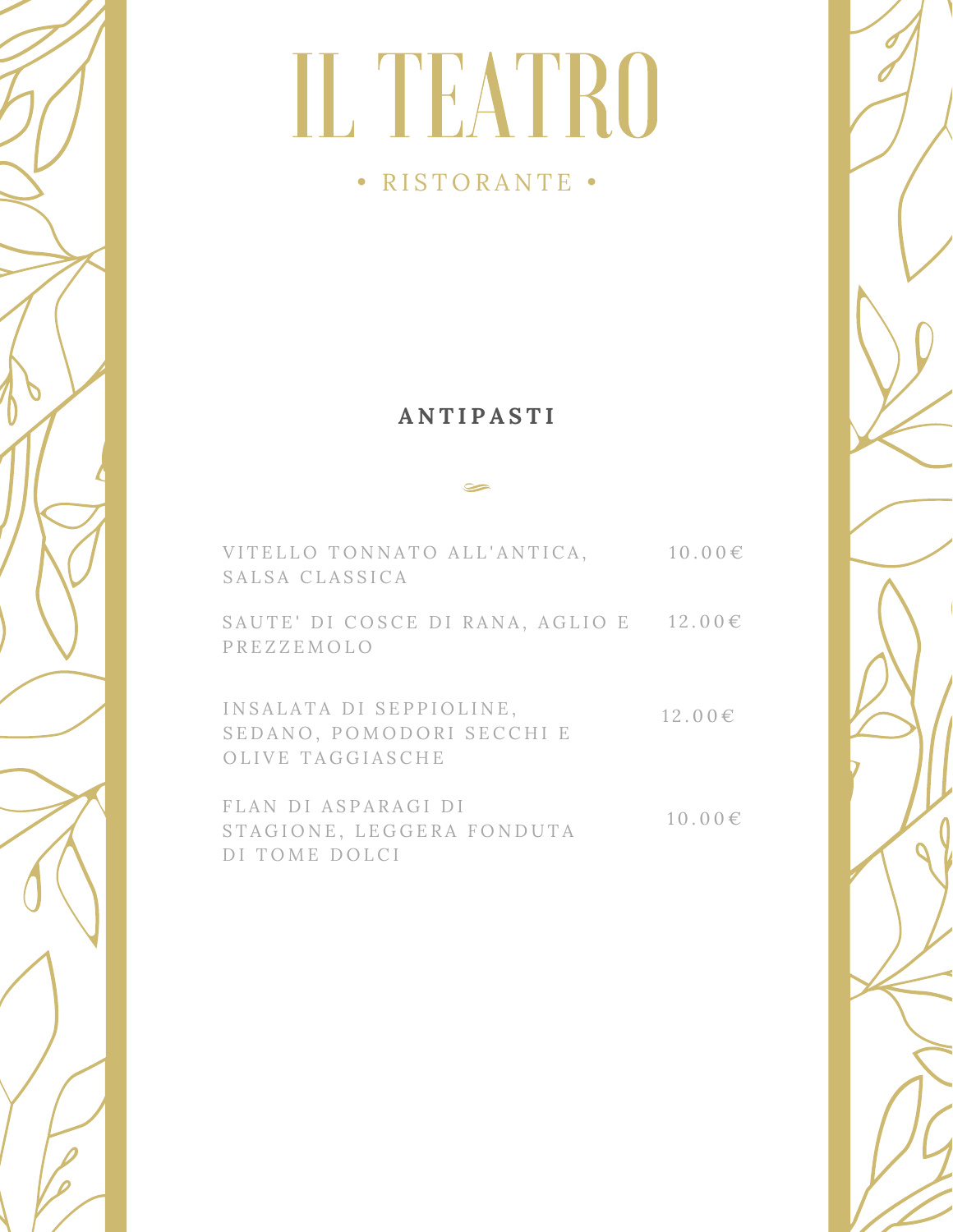#### • RISTORANTE •

#### **A N T I P A S T I**

| VITELLO TONNATO ALL'ANTICA,<br>SALSA CLASSICA                            | $10.00 \in$ |
|--------------------------------------------------------------------------|-------------|
| SAUTE' DI COSCE DI RANA, AGLIO E<br>PREZZEMOLO                           | $12.00 \in$ |
| INSALATA DI SEPPIOLINE,<br>SEDANO, POMODORI SECCHI E<br>OLIVE TAGGIASCHE | $12.00 \in$ |
| FLAN DI ASPARAGI DI                                                      |             |

 $10.00 \in$ FLAN DI ASPARAGI DI STAGIONE, LEGGERA FONDUTA DI TOME DOLCI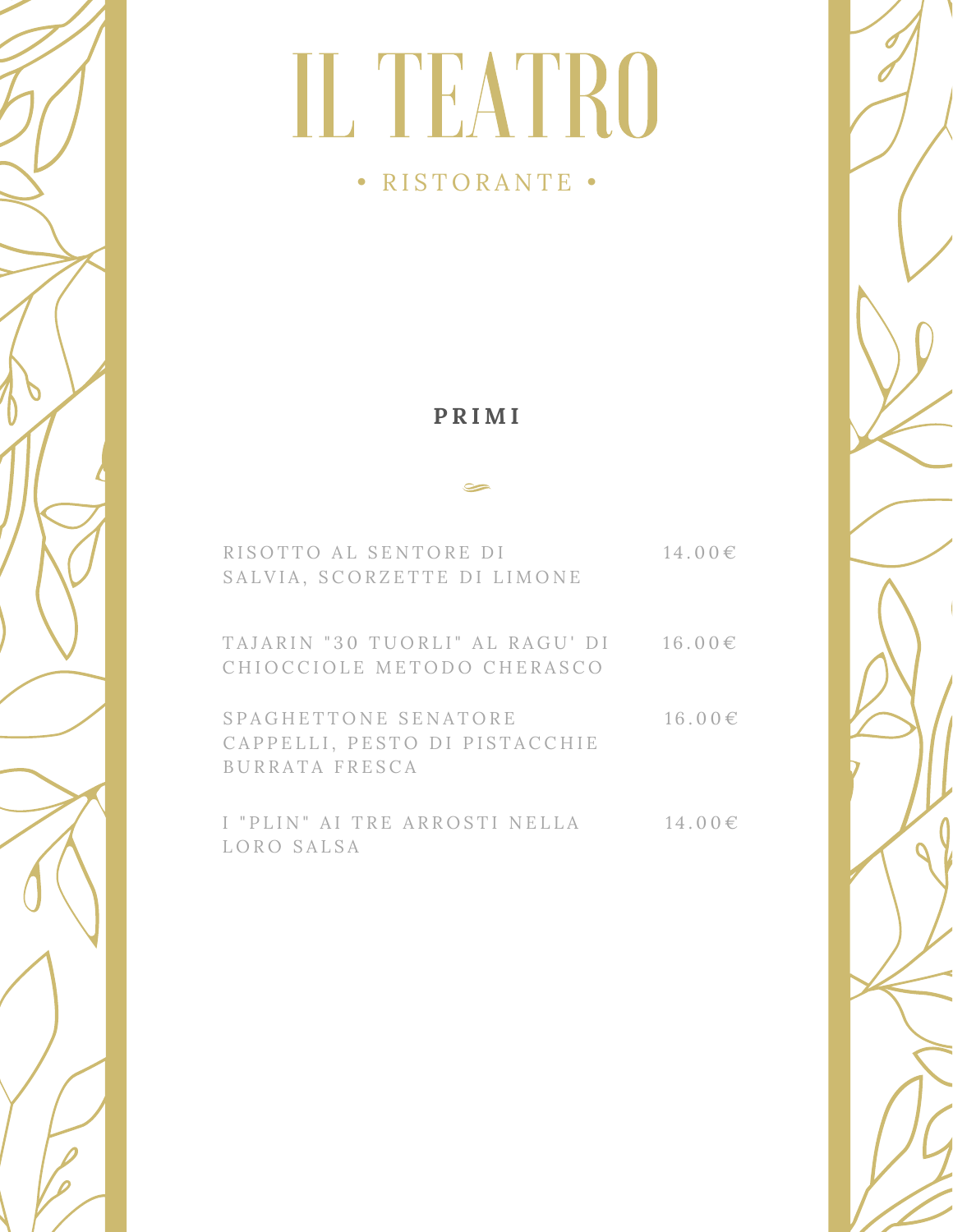#### • RISTORANTE •

#### **P R I M I**

#### $\blacktriangleright$

| RISOTTO AL SENTORE DI<br>SALVIA, SCORZETTE DI LIMONE                    | $14.00 \in$ |
|-------------------------------------------------------------------------|-------------|
| TAJARIN "30 TUORLI" AL RAGU' DI<br>CHIOCCIOLE METODO CHERASCO           | $16.00 \in$ |
| SPAGHETTONE SENATORE<br>CAPPELLI, PESTO DI PISTACCHIE<br>BURRATA FRESCA | $16.00 \in$ |
| I "PLIN" AI TRE ARROSTI NELLA<br>LORO SALSA                             | $14.00 \in$ |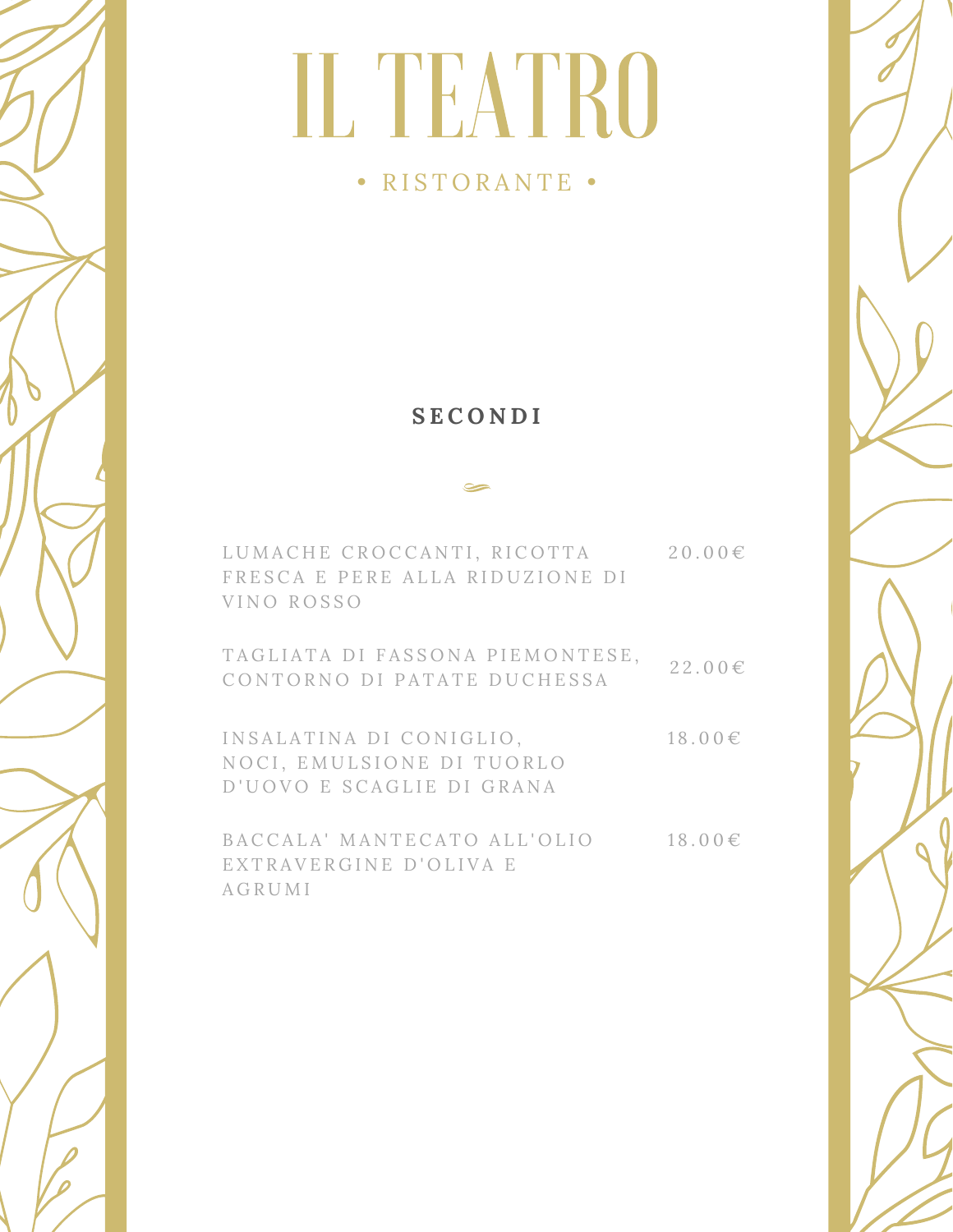### • RISTORANTE •

#### **S E C O N D I**

| LUMACHE CROCCANTI, RICOTTA<br>FRESCA E PERE ALLA RIDUZIONE DI<br>VINO ROSSO       | $20.00 \in$ |
|-----------------------------------------------------------------------------------|-------------|
| TAGLIATA DI FASSONA PIEMONTESE,<br>CONTORNO DI PATATE DUCHESSA                    | $22.00 \in$ |
| INSALATINA DI CONIGLIO,<br>NOCI, EMULSIONE DI TUORLO<br>D'UOVO E SCAGLIE DI GRANA | $18.00 \in$ |
| BACCALA' MANTECATO ALL'OLIO<br>EXTRAVERGINE D'OLIVA E<br>AGRUMI                   | $18.00 \in$ |